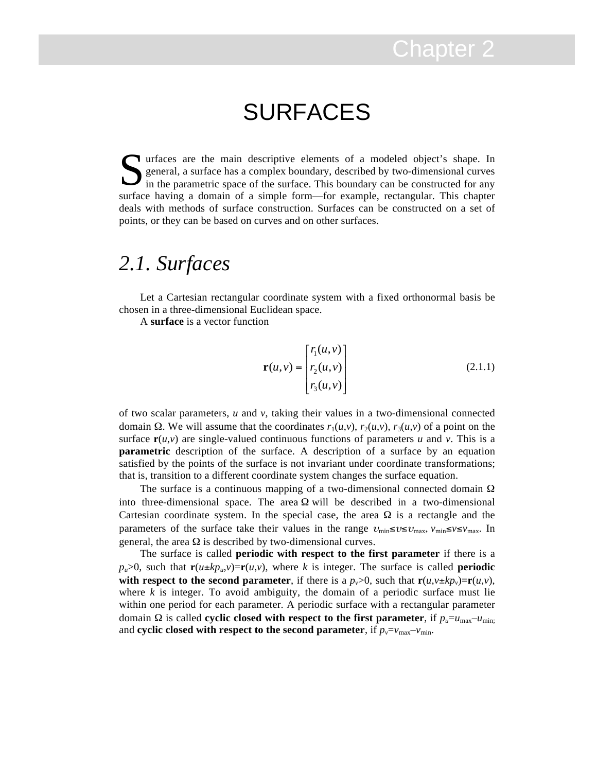## SURFACES

Urfaces are the main descriptive elements of a modeled object's shape. In general, a surface has a complex boundary, described by two-dimensional curves in the parametric space of the surface. This boundary can be construc general, a surface has a complex boundary, described by two-dimensional curves in the parametric space of the surface. This boundary can be constructed for any surface having a domain of a simple form—for example, rectangular. This chapter deals with methods of surface construction. Surfaces can be constructed on a set of points, or they can be based on curves and on other surfaces.

## *2.1. Surfaces*

Let a Cartesian rectangular coordinate system with a fixed orthonormal basis be chosen in a three-dimensional Euclidean space.

A **surface** is a vector function

$$
\mathbf{r}(u,v) = \begin{bmatrix} r_1(u,v) \\ r_2(u,v) \\ r_3(u,v) \end{bmatrix}
$$
 (2.1.1)

of two scalar parameters, *u* and *v*, taking their values in a two-dimensional connected domain Ω. We will assume that the coordinates  $r_1(u,v)$ ,  $r_2(u,v)$ ,  $r_3(u,v)$  of a point on the surface  $\mathbf{r}(u, v)$  are single-valued continuous functions of parameters *u* and *v*. This is a **parametric** description of the surface. A description of a surface by an equation satisfied by the points of the surface is not invariant under coordinate transformations; that is, transition to a different coordinate system changes the surface equation.

The surface is a continuous mapping of a two-dimensional connected domain  $\Omega$ into three-dimensional space. The area  $\Omega$  will be described in a two-dimensional Cartesian coordinate system. In the special case, the area  $\Omega$  is a rectangle and the parameters of the surface take their values in the range  $v_{\text{min}} \le v \le v_{\text{max}}$ ,  $v_{\text{min}} \le v \le v_{\text{max}}$ . In general, the area  $\Omega$  is described by two-dimensional curves.

The surface is called **periodic with respect to the first parameter** if there is a  $p_u > 0$ , such that  $\mathbf{r}(u \pm k p_u, v) = \mathbf{r}(u, v)$ , where *k* is integer. The surface is called **periodic with respect to the second parameter**, if there is a  $p_v>0$ , such that  $\mathbf{r}(u,v \pm kp_v) = \mathbf{r}(u,v)$ , where  $k$  is integer. To avoid ambiguity, the domain of a periodic surface must lie within one period for each parameter. A periodic surface with a rectangular parameter domain Ω is called **cyclic closed with respect to the first parameter**, if  $p_u = u_{\text{max}} - u_{\text{min}}$ ; and **cyclic closed with respect to the second parameter**, if  $p_v = v_{\text{max}} - v_{\text{min}}$ .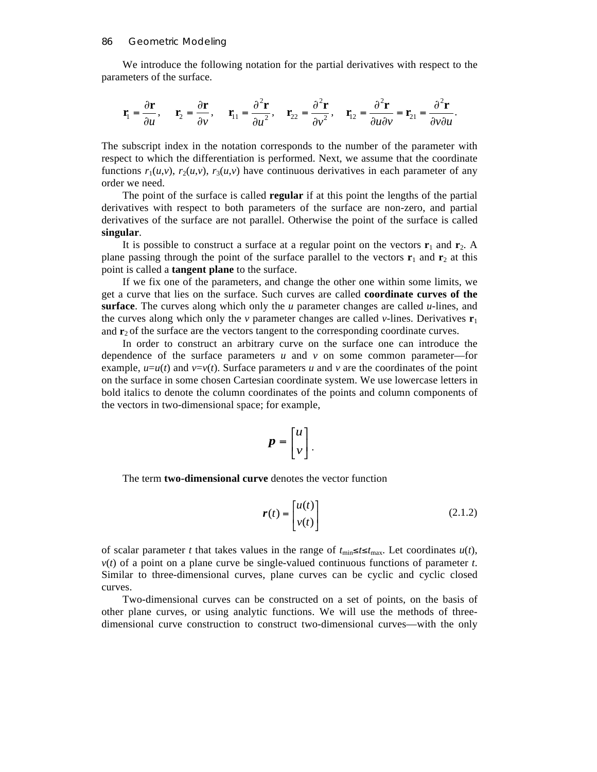We introduce the following notation for the partial derivatives with respect to the parameters of the surface.

$$
\mathbf{r}_1 = \frac{\partial \mathbf{r}}{\partial u}, \quad \mathbf{r}_2 = \frac{\partial \mathbf{r}}{\partial v}, \quad \mathbf{r}_{11} = \frac{\partial^2 \mathbf{r}}{\partial u^2}, \quad \mathbf{r}_{22} = \frac{\partial^2 \mathbf{r}}{\partial v^2}, \quad \mathbf{r}_{12} = \frac{\partial^2 \mathbf{r}}{\partial u \partial v} = \mathbf{r}_{21} = \frac{\partial^2 \mathbf{r}}{\partial v \partial u}.
$$

The subscript index in the notation corresponds to the number of the parameter with respect to which the differentiation is performed. Next, we assume that the coordinate functions  $r_1(u, v)$ ,  $r_2(u, v)$ ,  $r_3(u, v)$  have continuous derivatives in each parameter of any order we need.

The point of the surface is called **regular** if at this point the lengths of the partial derivatives with respect to both parameters of the surface are non-zero, and partial derivatives of the surface are not parallel. Otherwise the point of the surface is called **singular**.

It is possible to construct a surface at a regular point on the vectors  $\mathbf{r}_1$  and  $\mathbf{r}_2$ . A plane passing through the point of the surface parallel to the vectors  $\mathbf{r}_1$  and  $\mathbf{r}_2$  at this point is called a **tangent plane** to the surface.

If we fix one of the parameters, and change the other one within some limits, we get a curve that lies on the surface. Such curves are called **coordinate curves of the surface**. The curves along which only the *u* parameter changes are called *u-*lines, and the curves along which only the *v* parameter changes are called *v*-lines. Derivatives  $\mathbf{r}_1$ and  $\mathbf{r}_2$  of the surface are the vectors tangent to the corresponding coordinate curves.

In order to construct an arbitrary curve on the surface one can introduce the dependence of the surface parameters  $u$  and  $v$  on some common parameter—for example,  $u=u(t)$  and  $v=v(t)$ . Surface parameters *u* and *v* are the coordinates of the point on the surface in some chosen Cartesian coordinate system. We use lowercase letters in bold italics to denote the column coordinates of the points and column components of the vectors in two-dimensional space; for example,

$$
p = \begin{bmatrix} u \\ v \end{bmatrix}.
$$

The term **two-dimensional curve** denotes the vector function

$$
\mathbf{r}(t) = \begin{bmatrix} u(t) \\ v(t) \end{bmatrix} \tag{2.1.2}
$$

of scalar parameter *t* that takes values in the range of  $t_{\text{min}} \le t \le t_{\text{max}}$ . Let coordinates  $u(t)$ ,  $v(t)$  of a point on a plane curve be single-valued continuous functions of parameter  $t$ . Similar to three-dimensional curves, plane curves can be cyclic and cyclic closed curves.

Two-dimensional curves can be constructed on a set of points, on the basis of other plane curves, or using analytic functions. We will use the methods of threedimensional curve construction to construct two-dimensional curves—with the only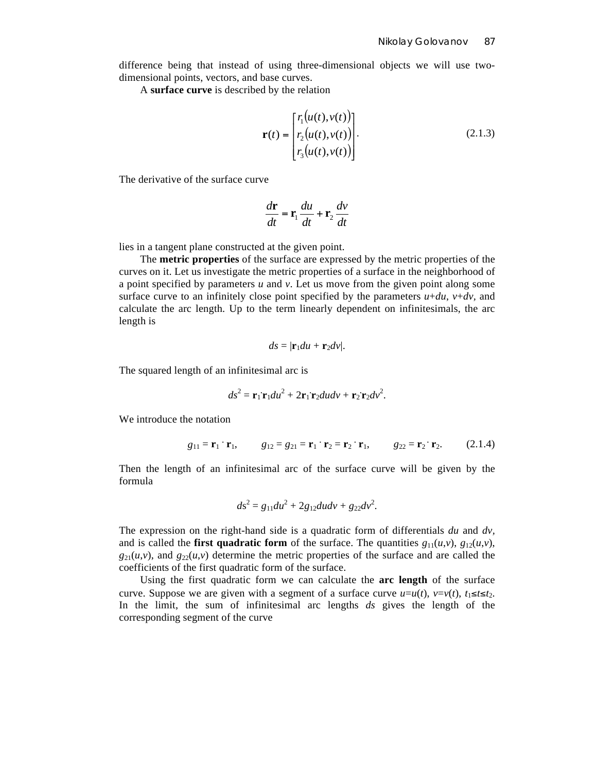difference being that instead of using three-dimensional objects we will use twodimensional points, vectors, and base curves.

A **surface curve** is described by the relation

$$
\mathbf{r}(t) = \begin{bmatrix} r_1(u(t), v(t)) \\ r_2(u(t), v(t)) \\ r_3(u(t), v(t)) \end{bmatrix}.
$$
 (2.1.3)

The derivative of the surface curve

$$
\frac{d\mathbf{r}}{dt} = \mathbf{r}_1 \frac{du}{dt} + \mathbf{r}_2 \frac{dv}{dt}
$$

lies in a tangent plane constructed at the given point.

The **metric properties** of the surface are expressed by the metric properties of the curves on it. Let us investigate the metric properties of a surface in the neighborhood of a point specified by parameters *u* and *v*. Let us move from the given point along some surface curve to an infinitely close point specified by the parameters  $u+du$ ,  $v+dv$ , and calculate the arc length. Up to the term linearly dependent on infinitesimals, the arc length is

$$
ds=|\mathbf{r}_1du+\mathbf{r}_2dv|.
$$

The squared length of an infinitesimal arc is

$$
ds^2 = \mathbf{r}_1 \mathbf{r}_1 du^2 + 2 \mathbf{r}_1 \mathbf{r}_2 dudv + \mathbf{r}_2 \mathbf{r}_2 dv^2.
$$

We introduce the notation

$$
g_{11} = \mathbf{r}_1 \cdot \mathbf{r}_1
$$
,  $g_{12} = g_{21} = \mathbf{r}_1 \cdot \mathbf{r}_2 = \mathbf{r}_2 \cdot \mathbf{r}_1$ ,  $g_{22} = \mathbf{r}_2 \cdot \mathbf{r}_2$ . (2.1.4)

Then the length of an infinitesimal arc of the surface curve will be given by the formula

$$
ds^2 = g_{11} du^2 + 2g_{12} du dv + g_{22} dv^2.
$$

The expression on the right-hand side is a quadratic form of differentials *du* and *dv,* and is called the **first quadratic form** of the surface. The quantities  $g_{11}(u, v)$ ,  $g_{12}(u, v)$ ,  $g_{21}(u,v)$ , and  $g_{22}(u,v)$  determine the metric properties of the surface and are called the coefficients of the first quadratic form of the surface.

Using the first quadratic form we can calculate the **arc length** of the surface curve. Suppose we are given with a segment of a surface curve  $u=u(t)$ ,  $v=v(t)$ ,  $t_1 \le t \le t_2$ . In the limit, the sum of infinitesimal arc lengths *ds* gives the length of the corresponding segment of the curve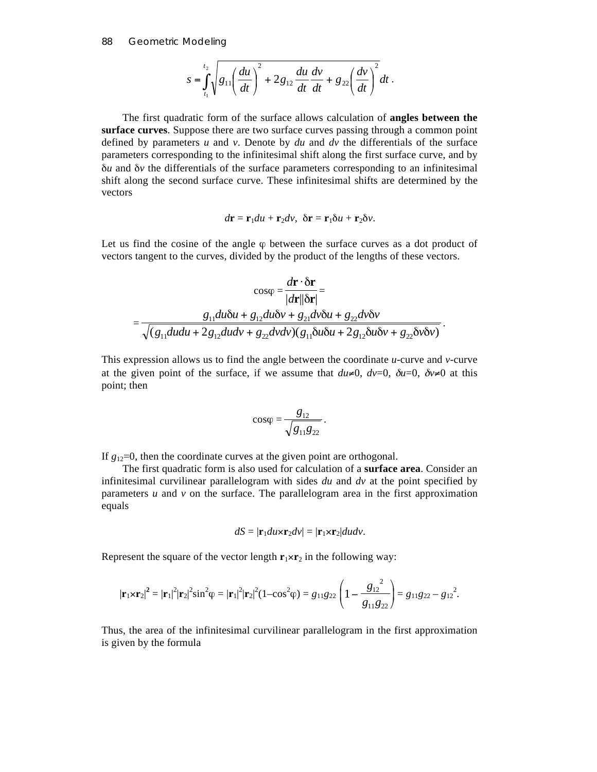88 Geometric Modeling

$$
s = \int_{t_1}^{t_2} \sqrt{g_{11} \left(\frac{du}{dt}\right)^2 + 2g_{12} \frac{du}{dt} \frac{dv}{dt} + g_{22} \left(\frac{dv}{dt}\right)^2} dt.
$$

The first quadratic form of the surface allows calculation of **angles between the surface curves**. Suppose there are two surface curves passing through a common point defined by parameters *u* and *v*. Denote by *du* and *dv* the differentials of the surface parameters corresponding to the infinitesimal shift along the first surface curve, and by δ*u* and δ*v* the differentials of the surface parameters corresponding to an infinitesimal shift along the second surface curve. These infinitesimal shifts are determined by the vectors

$$
d\mathbf{r} = \mathbf{r}_1 du + \mathbf{r}_2 dv, \ \delta \mathbf{r} = \mathbf{r}_1 \delta u + \mathbf{r}_2 \delta v.
$$

Let us find the cosine of the angle  $\varphi$  between the surface curves as a dot product of vectors tangent to the curves, divided by the product of the lengths of these vectors.

$$
\cos\varphi = \frac{d\mathbf{r} \cdot \delta \mathbf{r}}{|d\mathbf{r}||\delta \mathbf{r}|} =
$$
  
= 
$$
\frac{g_{11}du\delta u + g_{12}du\delta v + g_{21}dv\delta u + g_{22}dv\delta v}{\sqrt{(g_{11}dudu + 2g_{12}dudv + g_{22}dvdv)(g_{11}\delta u\delta u + 2g_{12}\delta u\delta v + g_{22}\delta v\delta v)}}.
$$

This expression allows us to find the angle between the coordinate *u-*curve and *v-*curve at the given point of the surface, if we assume that  $du\neq 0$ ,  $dv=0$ ,  $\delta u=0$ ,  $\delta v\neq 0$  at this point; then

$$
cos\varphi = \frac{g_{12}}{\sqrt{g_{11}g_{22}}}
$$

.

If  $g_{12}=0$ , then the coordinate curves at the given point are orthogonal.

The first quadratic form is also used for calculation of a **surface area**. Consider an infinitesimal curvilinear parallelogram with sides *du* and *dv* at the point specified by parameters  $u$  and  $v$  on the surface. The parallelogram area in the first approximation equals

$$
dS = |\mathbf{r}_1 du \times \mathbf{r}_2 dv| = |\mathbf{r}_1 \times \mathbf{r}_2| dudv.
$$

Represent the square of the vector length  $\mathbf{r}_1 \times \mathbf{r}_2$  in the following way:

$$
|\mathbf{r}_1 \times \mathbf{r}_2|^2 = |\mathbf{r}_1|^2 |\mathbf{r}_2|^2 \sin^2 \varphi = |\mathbf{r}_1|^2 |\mathbf{r}_2|^2 (1 - \cos^2 \varphi) = g_{11} g_{22} \left( 1 - \frac{g_{12}^2}{g_{11} g_{22}} \right) = g_{11} g_{22} - g_{12}^2.
$$

Thus, the area of the infinitesimal curvilinear parallelogram in the first approximation is given by the formula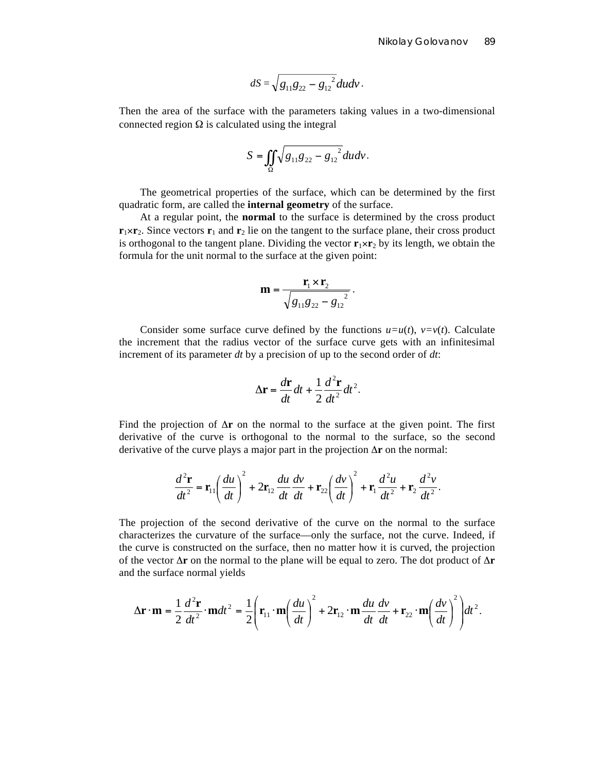$$
dS = \sqrt{g_{11}g_{22} - g_{12}^2} dudv.
$$

Then the area of the surface with the parameters taking values in a two-dimensional connected region  $\Omega$  is calculated using the integral

$$
S = \iint\limits_{\Omega} \sqrt{g_{11}g_{22} - g_{12}^{2}} dudv.
$$

The geometrical properties of the surface, which can be determined by the first quadratic form, are called the **internal geometry** of the surface.

At a regular point, the **normal** to the surface is determined by the cross product  $\mathbf{r}_1 \times \mathbf{r}_2$ . Since vectors  $\mathbf{r}_1$  and  $\mathbf{r}_2$  lie on the tangent to the surface plane, their cross product is orthogonal to the tangent plane. Dividing the vector  $\mathbf{r}_1 \times \mathbf{r}_2$  by its length, we obtain the formula for the unit normal to the surface at the given point:

$$
\mathbf{m} = \frac{\mathbf{r}_1 \times \mathbf{r}_2}{\sqrt{g_{11}g_{22} - g_{12}^2}}.
$$

Consider some surface curve defined by the functions  $u=u(t)$ ,  $v=v(t)$ . Calculate the increment that the radius vector of the surface curve gets with an infinitesimal increment of its parameter *dt* by a precision of up to the second order of *dt*:

$$
\Delta \mathbf{r} = \frac{d\mathbf{r}}{dt}dt + \frac{1}{2}\frac{d^2\mathbf{r}}{dt^2}dt^2.
$$

Find the projection of  $\Delta$ **r** on the normal to the surface at the given point. The first derivative of the curve is orthogonal to the normal to the surface, so the second derivative of the curve plays a major part in the projection Δ**r** on the normal:

$$
\frac{d^2\mathbf{r}}{dt^2} = \mathbf{r}_{11}\left(\frac{du}{dt}\right)^2 + 2\mathbf{r}_{12}\frac{du}{dt}\frac{dv}{dt} + \mathbf{r}_{22}\left(\frac{dv}{dt}\right)^2 + \mathbf{r}_{1}\frac{d^2u}{dt^2} + \mathbf{r}_{2}\frac{d^2v}{dt^2}.
$$

The projection of the second derivative of the curve on the normal to the surface characterizes the curvature of the surface—only the surface, not the curve. Indeed, if the curve is constructed on the surface, then no matter how it is curved, the projection of the vector Δ**r** on the normal to the plane will be equal to zero. The dot product of Δ**r** and the surface normal yields

$$
\Delta \mathbf{r} \cdot \mathbf{m} = \frac{1}{2} \frac{d^2 \mathbf{r}}{dt^2} \cdot \mathbf{m} dt^2 = \frac{1}{2} \left( \mathbf{r}_{11} \cdot \mathbf{m} \left( \frac{du}{dt} \right)^2 + 2 \mathbf{r}_{12} \cdot \mathbf{m} \frac{du}{dt} \frac{dv}{dt} + \mathbf{r}_{22} \cdot \mathbf{m} \left( \frac{dv}{dt} \right)^2 \right) dt^2.
$$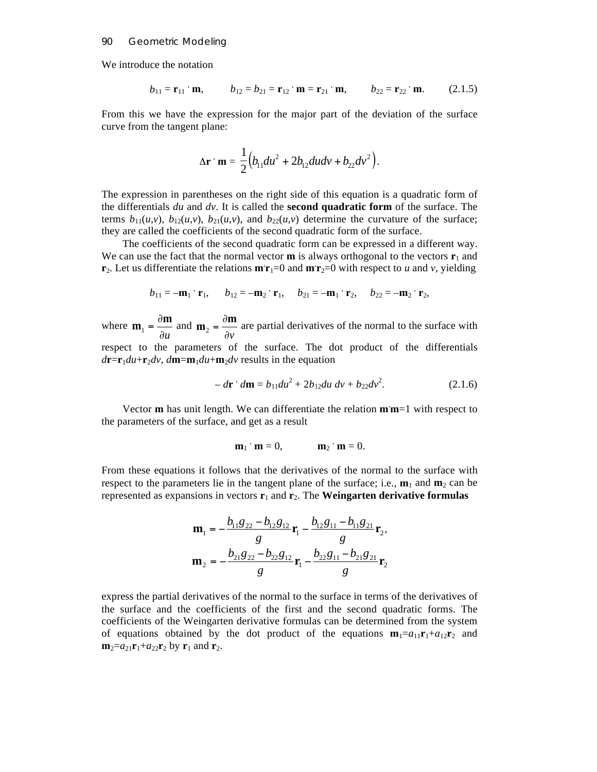## 90 Geometric Modeling

We introduce the notation

$$
b_{11} = \mathbf{r}_{11} \cdot \mathbf{m}
$$
,  $b_{12} = b_{21} = \mathbf{r}_{12} \cdot \mathbf{m} = \mathbf{r}_{21} \cdot \mathbf{m}$ ,  $b_{22} = \mathbf{r}_{22} \cdot \mathbf{m}$ . (2.1.5)

From this we have the expression for the major part of the deviation of the surface curve from the tangent plane:

$$
\Delta \mathbf{r} \cdot \mathbf{m} = \frac{1}{2} (b_{11} du^2 + 2b_{12} du dv + b_{22} dv^2).
$$

The expression in parentheses on the right side of this equation is a quadratic form of the differentials *du* and *dv*. It is called the **second quadratic form** of the surface. The terms  $b_{11}(u,v)$ ,  $b_{12}(u,v)$ ,  $b_{21}(u,v)$ , and  $b_{22}(u,v)$  determine the curvature of the surface; they are called the coefficients of the second quadratic form of the surface.

The coefficients of the second quadratic form can be expressed in a different way. We can use the fact that the normal vector **m** is always orthogonal to the vectors  $\mathbf{r}_1$  and **r**<sub>2</sub>. Let us differentiate the relations  $\mathbf{m} \cdot \mathbf{r}_1 = 0$  and  $\mathbf{m} \cdot \mathbf{r}_2 = 0$  with respect to *u* and *v*, yielding

$$
b_{11} = -\mathbf{m}_1 \cdot \mathbf{r}_1
$$
,  $b_{12} = -\mathbf{m}_2 \cdot \mathbf{r}_1$ ,  $b_{21} = -\mathbf{m}_1 \cdot \mathbf{r}_2$ ,  $b_{22} = -\mathbf{m}_2 \cdot \mathbf{r}_2$ ,

where ∂*u*  **and** ∂*v*  $\mathbf{m}_2 = \frac{\partial \mathbf{m}}{\partial \mathbf{m}}$  are partial derivatives of the normal to the surface with respect to the parameters of the surface. The dot product of the differentials  $d$ **r**=**r**<sub>1</sub> $du$ +**r**<sub>2</sub> $dv$ ,  $d$ **m**=**m**<sub>1</sub> $du$ +**m**<sub>2</sub> $dv$  results in the equation

$$
-d\mathbf{r} \cdot d\mathbf{m} = b_{11} du^2 + 2b_{12} du \, dv + b_{22} dv^2. \tag{2.1.6}
$$

Vector **m** has unit length. We can differentiate the relation **m. m**=1 with respect to the parameters of the surface, and get as a result

$$
\mathbf{m}_1 \cdot \mathbf{m} = 0, \qquad \qquad \mathbf{m}_2 \cdot \mathbf{m} = 0.
$$

From these equations it follows that the derivatives of the normal to the surface with respect to the parameters lie in the tangent plane of the surface; i.e.,  $\mathbf{m}_1$  and  $\mathbf{m}_2$  can be represented as expansions in vectors  $\mathbf{r}_1$  and  $\mathbf{r}_2$ . The **Weingarten derivative formulas** 

$$
\mathbf{m}_1 = -\frac{b_{11}g_{22} - b_{12}g_{12}}{g} \mathbf{r}_1 - \frac{b_{12}g_{11} - b_{11}g_{21}}{g} \mathbf{r}_2,
$$

$$
\mathbf{m}_2 = -\frac{b_{21}g_{22} - b_{22}g_{12}}{g} \mathbf{r}_1 - \frac{b_{22}g_{11} - b_{21}g_{21}}{g} \mathbf{r}_2
$$

express the partial derivatives of the normal to the surface in terms of the derivatives of the surface and the coefficients of the first and the second quadratic forms. The coefficients of the Weingarten derivative formulas can be determined from the system of equations obtained by the dot product of the equations  $\mathbf{m}_1 = a_{11}\mathbf{r}_1 + a_{12}\mathbf{r}_2$  and  $m_2 = a_{21}r_1 + a_{22}r_2$  by  $r_1$  and  $r_2$ .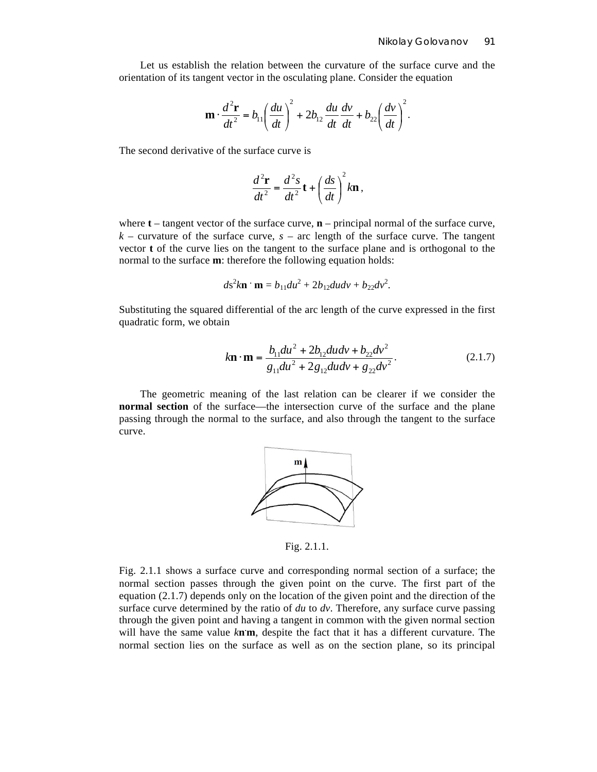Let us establish the relation between the curvature of the surface curve and the orientation of its tangent vector in the osculating plane. Consider the equation

$$
\mathbf{m} \cdot \frac{d^2 \mathbf{r}}{dt^2} = b_{11} \left(\frac{du}{dt}\right)^2 + 2b_{12} \frac{du}{dt} \frac{dv}{dt} + b_{22} \left(\frac{dv}{dt}\right)^2.
$$

The second derivative of the surface curve is

$$
\frac{d^2\mathbf{r}}{dt^2} = \frac{d^2s}{dt^2}\mathbf{t} + \left(\frac{ds}{dt}\right)^2 k\mathbf{n},
$$

where **t** – tangent vector of the surface curve, **n** – principal normal of the surface curve,  $k$  – curvature of the surface curve,  $s$  – arc length of the surface curve. The tangent vector **t** of the curve lies on the tangent to the surface plane and is orthogonal to the normal to the surface **m**: therefore the following equation holds:

$$
ds^2k\mathbf{n}\cdot\mathbf{m}=b_{11}du^2+2b_{12}dudv+b_{22}dv^2.
$$

Substituting the squared differential of the arc length of the curve expressed in the first quadratic form, we obtain

$$
k\mathbf{n} \cdot \mathbf{m} = \frac{b_{11} du^2 + 2b_{12} du dv + b_{22} dv^2}{g_{11} du^2 + 2g_{12} du dv + g_{22} dv^2}.
$$
 (2.1.7)

The geometric meaning of the last relation can be clearer if we consider the **normal section** of the surface—the intersection curve of the surface and the plane passing through the normal to the surface, and also through the tangent to the surface curve.



Fig. 2.1.1.

Fig. 2.1.1 shows a surface curve and corresponding normal section of a surface; the normal section passes through the given point on the curve. The first part of the equation (2.1.7) depends only on the location of the given point and the direction of the surface curve determined by the ratio of *du* to *dv*. Therefore, any surface curve passing through the given point and having a tangent in common with the given normal section will have the same value *k***n. m**, despite the fact that it has a different curvature. The normal section lies on the surface as well as on the section plane, so its principal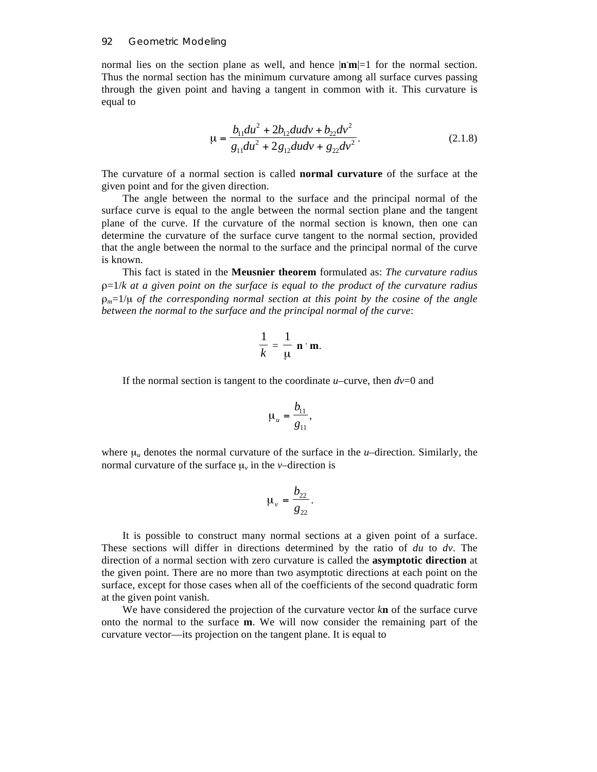normal lies on the section plane as well, and hence |**n. m**|=1 for the normal section. Thus the normal section has the minimum curvature among all surface curves passing through the given point and having a tangent in common with it. This curvature is equal to

$$
\mu = \frac{b_{11} du^2 + 2b_{12} du dv + b_{22} dv^2}{g_{11} du^2 + 2g_{12} du dv + g_{22} dv^2}.
$$
\n(2.1.8)

The curvature of a normal section is called **normal curvature** of the surface at the given point and for the given direction.

The angle between the normal to the surface and the principal normal of the surface curve is equal to the angle between the normal section plane and the tangent plane of the curve. If the curvature of the normal section is known, then one can determine the curvature of the surface curve tangent to the normal section, provided that the angle between the normal to the surface and the principal normal of the curve is known.

This fact is stated in the **Meusnier theorem** formulated as: *The curvature radius* ρ=1/*k at a given point on the surface is equal to the product of the curvature radius*   $\rho_m=1/\mu$  *of the corresponding normal section at this point by the cosine of the angle between the normal to the surface and the principal normal of the curve*:

$$
\frac{1}{k} = \frac{1}{\mu} \mathbf{n} \cdot \mathbf{m}.
$$

If the normal section is tangent to the coordinate  $u$ –curve, then  $dv=0$  and

$$
\mu_u = \frac{b_{11}}{g_{11}},
$$

where  $\mu_u$  denotes the normal curvature of the surface in the *u*–direction. Similarly, the normal curvature of the surface  $\mu$ <sub>*v*</sub> in the *v*–direction is

$$
\mu_{\nu} = \frac{b_{22}}{g_{22}}.
$$

It is possible to construct many normal sections at a given point of a surface. These sections will differ in directions determined by the ratio of *du* to *dv*. The direction of a normal section with zero curvature is called the **asymptotic direction** at the given point. There are no more than two asymptotic directions at each point on the surface, except for those cases when all of the coefficients of the second quadratic form at the given point vanish.

We have considered the projection of the curvature vector *k***n** of the surface curve onto the normal to the surface **m**. We will now consider the remaining part of the curvature vector—its projection on the tangent plane. It is equal to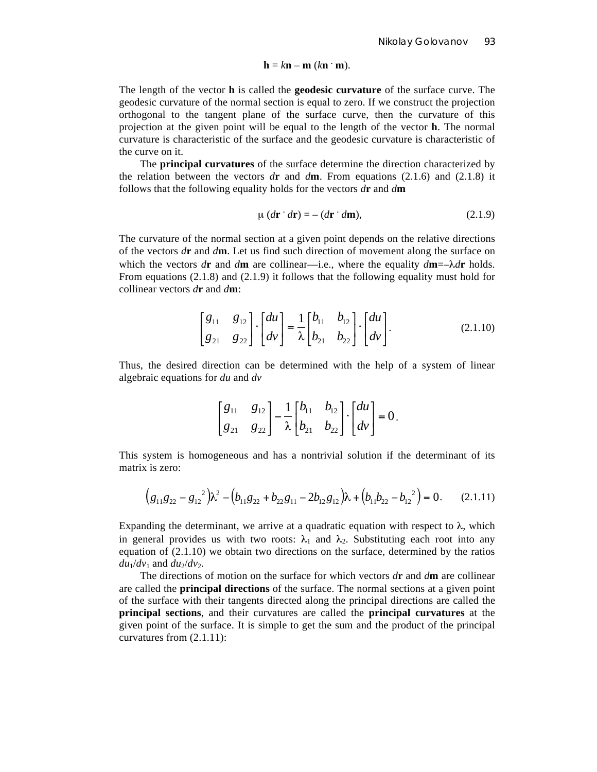$$
\mathbf{h} = k\mathbf{n} - \mathbf{m} \ (k\mathbf{n} \cdot \mathbf{m}).
$$

The length of the vector **h** is called the **geodesic curvature** of the surface curve. The geodesic curvature of the normal section is equal to zero. If we construct the projection orthogonal to the tangent plane of the surface curve, then the curvature of this projection at the given point will be equal to the length of the vector **h**. The normal curvature is characteristic of the surface and the geodesic curvature is characteristic of the curve on it.

The **principal curvatures** of the surface determine the direction characterized by the relation between the vectors  $d\mathbf{r}$  and  $d\mathbf{m}$ . From equations (2.1.6) and (2.1.8) it follows that the following equality holds for the vectors *d***r** and *d***m**

$$
\mu (d\mathbf{r} \cdot d\mathbf{r}) = -(d\mathbf{r} \cdot d\mathbf{m}),\tag{2.1.9}
$$

The curvature of the normal section at a given point depends on the relative directions of the vectors *d***r** and *d***m**. Let us find such direction of movement along the surface on which the vectors  $d\mathbf{r}$  and  $d\mathbf{m}$  are collinear—i.e., where the equality  $d\mathbf{m} = -\lambda d\mathbf{r}$  holds. From equations (2.1.8) and (2.1.9) it follows that the following equality must hold for collinear vectors *d***r** and *d***m**:

$$
\begin{bmatrix} g_{11} & g_{12} \\ g_{21} & g_{22} \end{bmatrix} \cdot \begin{bmatrix} du \\ dv \end{bmatrix} = \frac{1}{\lambda} \begin{bmatrix} b_{11} & b_{12} \\ b_{21} & b_{22} \end{bmatrix} \cdot \begin{bmatrix} du \\ dv \end{bmatrix}.
$$
 (2.1.10)

Thus, the desired direction can be determined with the help of a system of linear algebraic equations for *du* and *dv*

$$
\begin{bmatrix} g_{11} & g_{12} \\ g_{21} & g_{22} \end{bmatrix} - \frac{1}{\lambda} \begin{bmatrix} b_{11} & b_{12} \\ b_{21} & b_{22} \end{bmatrix} \cdot \begin{bmatrix} du \\ dv \end{bmatrix} = 0.
$$

This system is homogeneous and has a nontrivial solution if the determinant of its matrix is zero:

$$
(g_{11}g_{22} - g_{12}^2)\lambda^2 - (b_{11}g_{22} + b_{22}g_{11} - 2b_{12}g_{12})\lambda + (b_{11}b_{22} - b_{12}^2) = 0. \qquad (2.1.11)
$$

Expanding the determinant, we arrive at a quadratic equation with respect to  $\lambda$ , which in general provides us with two roots:  $\lambda_1$  and  $\lambda_2$ . Substituting each root into any equation of (2.1.10) we obtain two directions on the surface, determined by the ratios  $du_1/dv_1$  and  $du_2/dv_2$ .

The directions of motion on the surface for which vectors *d***r** and *d***m** are collinear are called the **principal directions** of the surface. The normal sections at a given point of the surface with their tangents directed along the principal directions are called the **principal sections**, and their curvatures are called the **principal curvatures** at the given point of the surface. It is simple to get the sum and the product of the principal curvatures from (2.1.11):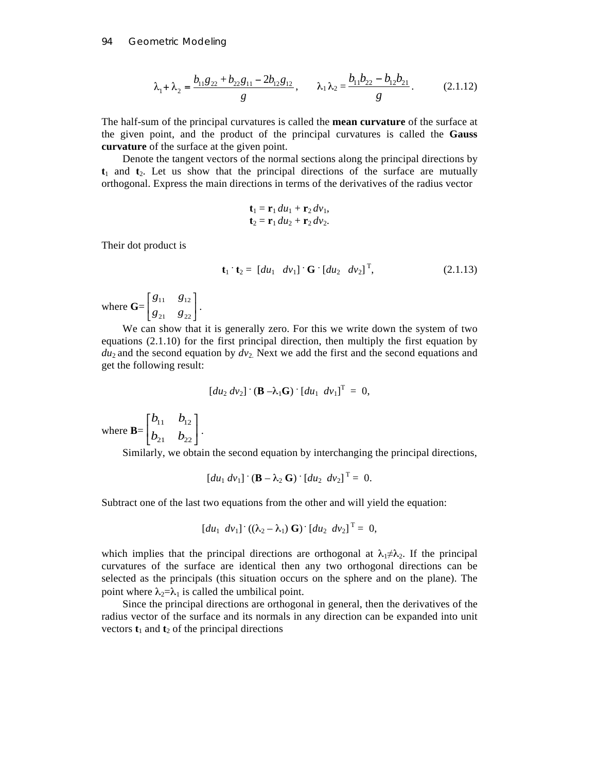$$
\lambda_1 + \lambda_2 = \frac{b_{11}g_{22} + b_{22}g_{11} - 2b_{12}g_{12}}{g}, \qquad \lambda_1 \lambda_2 = \frac{b_{11}b_{22} - b_{12}b_{21}}{g}.
$$
 (2.1.12)

The half-sum of the principal curvatures is called the **mean curvature** of the surface at the given point, and the product of the principal curvatures is called the **Gauss curvature** of the surface at the given point.

Denote the tangent vectors of the normal sections along the principal directions by **t**1 and **t**2. Let us show that the principal directions of the surface are mutually orthogonal. Express the main directions in terms of the derivatives of the radius vector

$$
\mathbf{t}_1 = \mathbf{r}_1 du_1 + \mathbf{r}_2 dv_1,
$$
  

$$
\mathbf{t}_2 = \mathbf{r}_1 du_2 + \mathbf{r}_2 dv_2.
$$

Their dot product is

$$
\mathbf{t}_1 \cdot \mathbf{t}_2 = \begin{bmatrix} du_1 & dv_1 \end{bmatrix} \cdot \mathbf{G} \cdot \begin{bmatrix} du_2 & dv_2 \end{bmatrix}^T, \tag{2.1.13}
$$

where **G**=  $\begin{bmatrix} g_{11} & g_{12} \\ g_{21} & g_{22} \end{bmatrix}$ ⎡ 21  $822$  $11 \quad S_{12}$  $\begin{bmatrix} g_{11} & g_{12} \\ g_{21} & g_{22} \end{bmatrix}$ .

We can show that it is generally zero. For this we write down the system of two equations (2.1.10) for the first principal direction, then multiply the first equation by  $du_2$  and the second equation by  $dv_2$ . Next we add the first and the second equations and get the following result:

$$
[du_2 dv_2] \cdot (\mathbf{B} - \lambda_1 \mathbf{G}) \cdot [du_1 dv_1]^{\mathrm{T}} = 0,
$$

where  $\mathbf{B} = \begin{bmatrix} 1 & b \end{bmatrix}$ ⎦  $\begin{bmatrix} b_{11} & b_{12} \\ b & b \end{bmatrix}$ ⎣ ⎡  $v_{21}$   $v_{22}$  $v_{11}$   $v_{12}$  $b_{21}$  *b*  $b_{11}$  *b* .

Similarly, we obtain the second equation by interchanging the principal directions,

$$
\left[du_1 dv_1\right] \cdot \left(\mathbf{B} - \lambda_2 \mathbf{G}\right) \cdot \left[du_2 dv_2\right]^\mathrm{T} = 0.
$$

Subtract one of the last two equations from the other and will yield the equation:

$$
[du_1 dv_1] \cdot ((\lambda_2 - \lambda_1) \mathbf{G}) \cdot [du_2 dv_2]^{T} = 0,
$$

which implies that the principal directions are orthogonal at  $\lambda_1 \neq \lambda_2$ . If the principal curvatures of the surface are identical then any two orthogonal directions can be selected as the principals (this situation occurs on the sphere and on the plane). The point where  $\lambda_2 = \lambda_1$  is called the umbilical point.

Since the principal directions are orthogonal in general, then the derivatives of the radius vector of the surface and its normals in any direction can be expanded into unit vectors  $t_1$  and  $t_2$  of the principal directions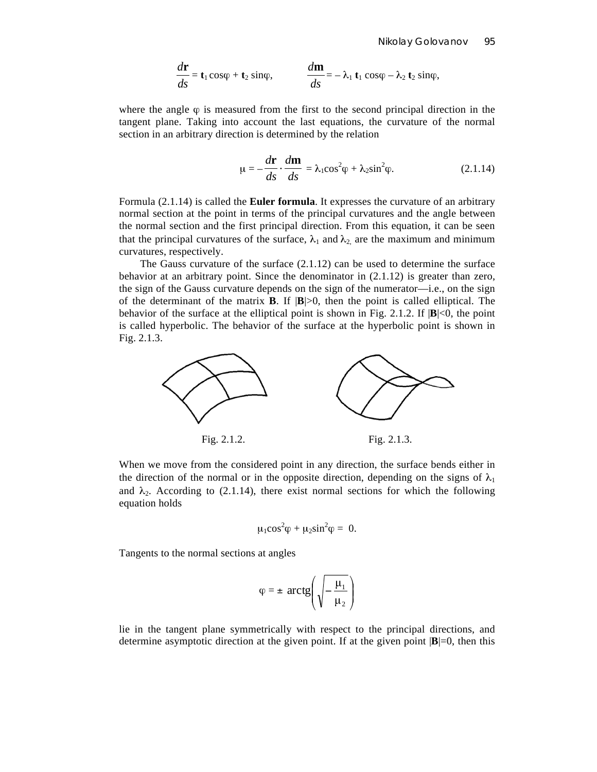$$
\frac{d\mathbf{r}}{ds} = \mathbf{t}_1 \cos\varphi + \mathbf{t}_2 \sin\varphi, \qquad \qquad \frac{d\mathbf{m}}{ds} = -\lambda_1 \mathbf{t}_1 \cos\varphi - \lambda_2 \mathbf{t}_2 \sin\varphi,
$$

where the angle  $\varphi$  is measured from the first to the second principal direction in the tangent plane. Taking into account the last equations, the curvature of the normal section in an arbitrary direction is determined by the relation

$$
\mu = -\frac{d\mathbf{r}}{ds} \cdot \frac{d\mathbf{m}}{ds} = \lambda_1 \cos^2 \phi + \lambda_2 \sin^2 \phi.
$$
 (2.1.14)

Formula (2.1.14) is called the **Euler formula**. It expresses the curvature of an arbitrary normal section at the point in terms of the principal curvatures and the angle between the normal section and the first principal direction. From this equation, it can be seen that the principal curvatures of the surface,  $\lambda_1$  and  $\lambda_2$  are the maximum and minimum curvatures, respectively.

The Gauss curvature of the surface (2.1.12) can be used to determine the surface behavior at an arbitrary point. Since the denominator in  $(2.1.12)$  is greater than zero, the sign of the Gauss curvature depends on the sign of the numerator—i.e., on the sign of the determinant of the matrix **B**. If  $|\mathbf{B}|>0$ , then the point is called elliptical. The behavior of the surface at the elliptical point is shown in Fig. 2.1.2. If  $|\mathbf{B}| < 0$ , the point is called hyperbolic. The behavior of the surface at the hyperbolic point is shown in Fig. 2.1.3.



When we move from the considered point in any direction, the surface bends either in the direction of the normal or in the opposite direction, depending on the signs of  $\lambda_1$ and  $\lambda_2$ . According to (2.1.14), there exist normal sections for which the following equation holds

$$
\mu_1 \cos^2 \varphi + \mu_2 \sin^2 \varphi = 0.
$$

Tangents to the normal sections at angles

$$
\varphi = \pm \,\arctg\!\left(\sqrt{-\frac{\mu_1}{\mu_2}}\right)
$$

lie in the tangent plane symmetrically with respect to the principal directions, and determine asymptotic direction at the given point. If at the given point  $|\mathbf{B}|=0$ , then this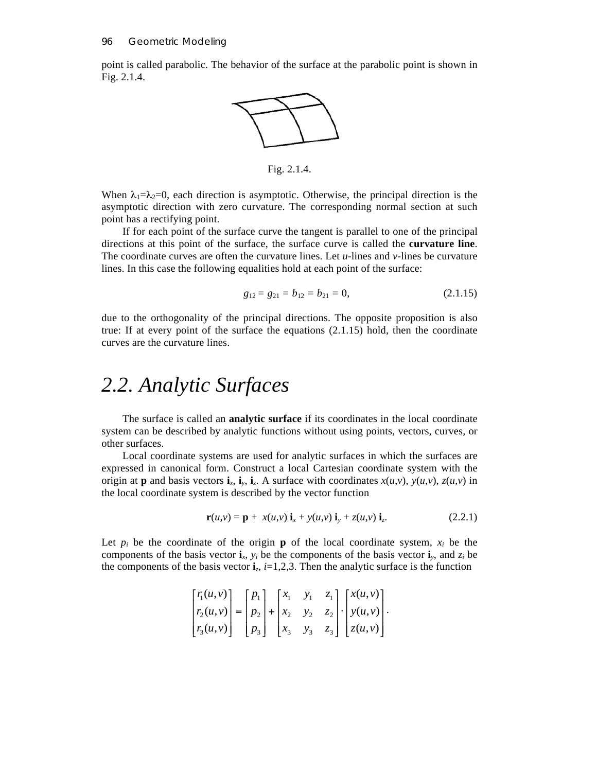point is called parabolic. The behavior of the surface at the parabolic point is shown in Fig. 2.1.4.



Fig. 2.1.4.

When  $\lambda_1 = \lambda_2 = 0$ , each direction is asymptotic. Otherwise, the principal direction is the asymptotic direction with zero curvature. The corresponding normal section at such point has a rectifying point.

If for each point of the surface curve the tangent is parallel to one of the principal directions at this point of the surface, the surface curve is called the **curvature line**. The coordinate curves are often the curvature lines. Let *u-*lines and *v-*lines be curvature lines. In this case the following equalities hold at each point of the surface:

$$
g_{12} = g_{21} = b_{12} = b_{21} = 0, \tag{2.1.15}
$$

due to the orthogonality of the principal directions. The opposite proposition is also true: If at every point of the surface the equations (2.1.15) hold, then the coordinate curves are the curvature lines.

## *2.2. Analytic Surfaces*

The surface is called an **analytic surface** if its coordinates in the local coordinate system can be described by analytic functions without using points, vectors, curves, or other surfaces.

Local coordinate systems are used for analytic surfaces in which the surfaces are expressed in canonical form. Construct a local Cartesian coordinate system with the origin at **p** and basis vectors  $\mathbf{i}_x$ ,  $\mathbf{i}_y$ ,  $\mathbf{i}_z$ . A surface with coordinates  $x(u, v)$ ,  $y(u, v)$ ,  $z(u, v)$  in the local coordinate system is described by the vector function

$$
\mathbf{r}(u,v) = \mathbf{p} + x(u,v) \mathbf{i}_x + y(u,v) \mathbf{i}_y + z(u,v) \mathbf{i}_z.
$$
 (2.2.1)

Let  $p_i$  be the coordinate of the origin **p** of the local coordinate system,  $x_i$  be the components of the basis vector  $\mathbf{i}_x$ ,  $y_i$  be the components of the basis vector  $\mathbf{i}_y$ , and  $z_i$  be the components of the basis vector  $\mathbf{i}_z$ ,  $i=1,2,3$ . Then the analytic surface is the function

$$
\begin{bmatrix}r_1(u,v)\\r_2(u,v)\\r_3(u,v)\end{bmatrix}=\begin{bmatrix}p_1\\p_2\\p_3\end{bmatrix}+\begin{bmatrix}x_1&y_1&z_1\\x_2&y_2&z_2\\x_3&y_3&z_3\end{bmatrix}\cdot\begin{bmatrix}x(u,v)\\y(u,v)\\z(u,v)\end{bmatrix}.
$$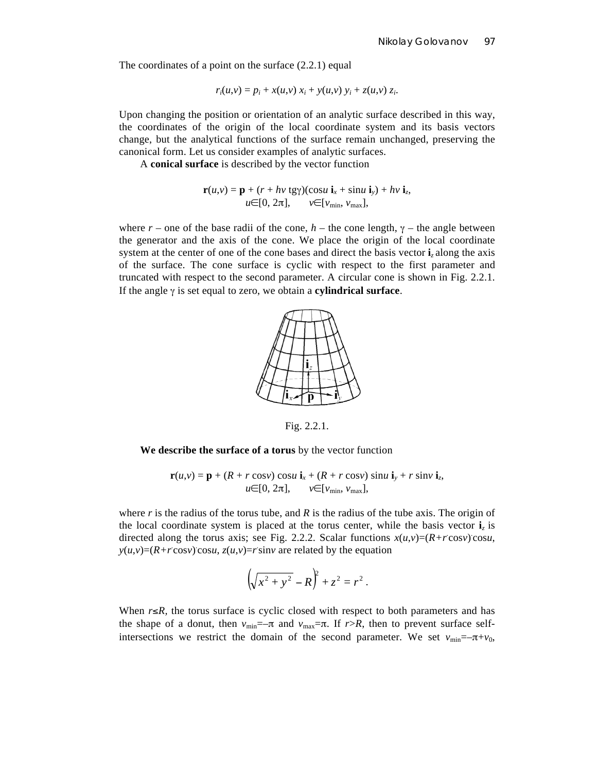The coordinates of a point on the surface  $(2.2.1)$  equal

$$
r_i(u, v) = p_i + x(u, v) x_i + y(u, v) y_i + z(u, v) z_i.
$$

Upon changing the position or orientation of an analytic surface described in this way, the coordinates of the origin of the local coordinate system and its basis vectors change, but the analytical functions of the surface remain unchanged, preserving the canonical form. Let us consider examples of analytic surfaces.

A **conical surface** is described by the vector function

$$
\mathbf{r}(u,v) = \mathbf{p} + (r + hv \, \text{tgy})(\cos u \, \mathbf{i}_x + \sin u \, \mathbf{i}_y) + hv \, \mathbf{i}_z, \\
u \in [0, 2\pi], \qquad v \in [\nu_{\min}, \, \nu_{\max}],
$$

where  $r$  – one of the base radii of the cone,  $h$  – the cone length,  $\gamma$  – the angle between the generator and the axis of the cone. We place the origin of the local coordinate system at the center of one of the cone bases and direct the basis vector **i***<sup>z</sup>* along the axis of the surface. The cone surface is cyclic with respect to the first parameter and truncated with respect to the second parameter. A circular cone is shown in Fig. 2.2.1. If the angle γ is set equal to zero, we obtain a **cylindrical surface**.



Fig. 2.2.1.

**We describe the surface of a torus** by the vector function

$$
\mathbf{r}(u,v) = \mathbf{p} + (R + r \cos v) \cos u \mathbf{i}_x + (R + r \cos v) \sin u \mathbf{i}_y + r \sin v \mathbf{i}_z,
$$
  
 
$$
u \in [0, 2\pi], \qquad v \in [v_{\min}, v_{\max}],
$$

where  $r$  is the radius of the torus tube, and  $R$  is the radius of the tube axis. The origin of the local coordinate system is placed at the torus center, while the basis vector  $\mathbf{i}_z$  is directed along the torus axis; see Fig. 2.2.2. Scalar functions  $x(u,v) = (R+r\cos v)\cos u$ ,  $y(u,v) = (R+r\cos v)\cos u$ ,  $z(u,v) = r\sin v$  are related by the equation

$$
\left(\sqrt{x^2 + y^2} - R\right)^2 + z^2 = r^2.
$$

When *r*≤*R,* the torus surface is cyclic closed with respect to both parameters and has the shape of a donut, then  $v_{\text{min}} = -\pi$  and  $v_{\text{max}} = \pi$ . If  $r > R$ , then to prevent surface selfintersections we restrict the domain of the second parameter. We set  $v_{\text{min}} = -\pi + v_0$ ,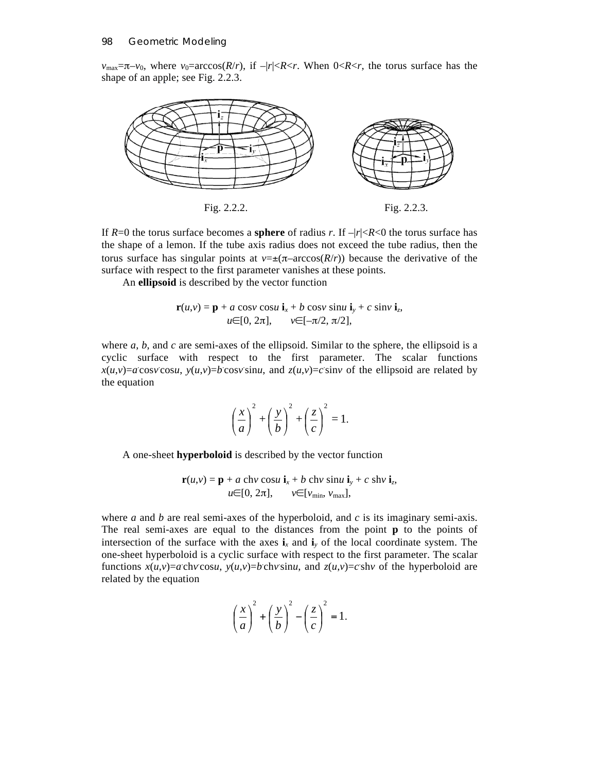*v*<sub>max</sub>= $\pi$ -*v*<sub>0</sub>, where *v*<sub>0</sub>=arccos(*R*/*r*), if -|*r*| <*R* < *r*. When 0 <*R* < *r*, the torus surface has the shape of an apple; see Fig. 2.2.3.



If  $R=0$  the torus surface becomes a **sphere** of radius *r*. If  $-|r| < R < 0$  the torus surface has the shape of a lemon. If the tube axis radius does not exceed the tube radius, then the torus surface has singular points at  $v = \pm(\pi - \arccos(R/r))$  because the derivative of the surface with respect to the first parameter vanishes at these points.

An **ellipsoid** is described by the vector function

$$
\mathbf{r}(u,v) = \mathbf{p} + a \cos v \cos u \mathbf{i}_x + b \cos v \sin u \mathbf{i}_y + c \sin v \mathbf{i}_z,
$$
  
 
$$
u \in [0, 2\pi], \qquad v \in [-\pi/2, \pi/2],
$$

where  $a$ ,  $b$ , and  $c$  are semi-axes of the ellipsoid. Similar to the sphere, the ellipsoid is a cyclic surface with respect to the first parameter. The scalar functions  $x(u,v) = a \cos v \cos u$ ,  $y(u,v) = b \cos v \sin u$ , and  $z(u,v) = c \sin v$  of the ellipsoid are related by the equation

$$
\left(\frac{x}{a}\right)^2 + \left(\frac{y}{b}\right)^2 + \left(\frac{z}{c}\right)^2 = 1.
$$

A one-sheet **hyperboloid** is described by the vector function

$$
\mathbf{r}(u,v) = \mathbf{p} + a \text{ ch}v \text{ cos}u \mathbf{i}_x + b \text{ ch}v \text{ sin}u \mathbf{i}_y + c \text{ sh}v \mathbf{i}_z,
$$
  

$$
u \in [0, 2\pi], \qquad v \in [v_{\text{min}}, v_{\text{max}}],
$$

where *a* and *b* are real semi-axes of the hyperboloid, and *c* is its imaginary semi-axis. The real semi-axes are equal to the distances from the point **p** to the points of intersection of the surface with the axes  $\mathbf{i}_x$  and  $\mathbf{i}_y$  of the local coordinate system. The one-sheet hyperboloid is a cyclic surface with respect to the first parameter. The scalar functions  $x(u,v) = a$  ch*v* cos*u*,  $y(u,v) = b$  ch*v* sin*u*, and  $z(u,v) = c$  sh*v* of the hyperboloid are related by the equation

$$
\left(\frac{x}{a}\right)^2 + \left(\frac{y}{b}\right)^2 - \left(\frac{z}{c}\right)^2 = 1.
$$